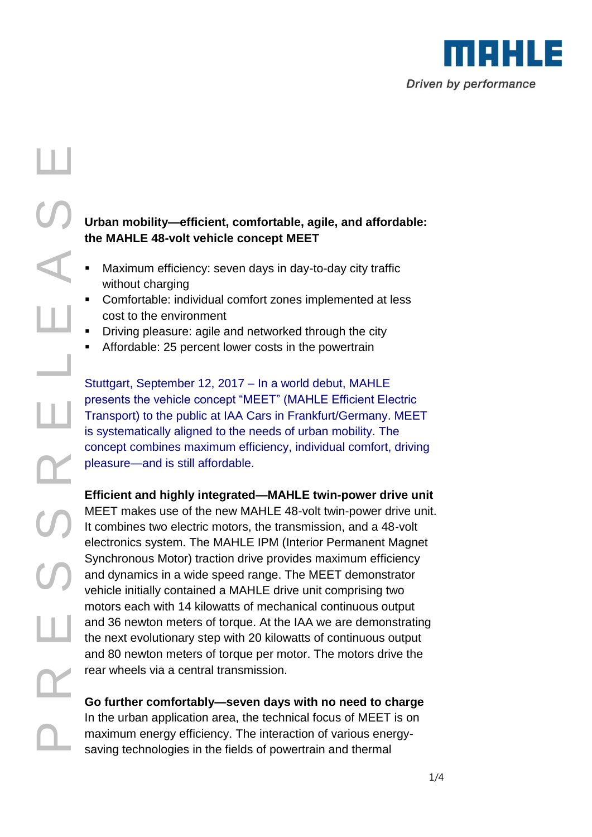

# UP The Condensity of Stutter of Strategy and the and and the and and rear Condensity of Strategy and the and rear Condensity of Strategy and the and rear Condensity Condensity Condensity Condensity Condensity Condensity Co ш R

## **Urban mobility—efficient, comfortable, agile, and affordable: the MAHLE 48-volt vehicle concept MEET**

- Maximum efficiency: seven days in day-to-day city traffic without charging
- Comfortable: individual comfort zones implemented at less cost to the environment
- Driving pleasure: agile and networked through the city
- Affordable: 25 percent lower costs in the powertrain

Stuttgart, September 12, 2017 – In a world debut, MAHLE presents the vehicle concept "MEET" (MAHLE Efficient Electric Transport) to the public at IAA Cars in Frankfurt/Germany. MEET is systematically aligned to the needs of urban mobility. The concept combines maximum efficiency, individual comfort, driving pleasure—and is still affordable.

### **Efficient and highly integrated—MAHLE twin-power drive unit**

MEET makes use of the new MAHLE 48-volt twin-power drive unit. It combines two electric motors, the transmission, and a 48-volt electronics system. The MAHLE IPM (Interior Permanent Magnet Synchronous Motor) traction drive provides maximum efficiency and dynamics in a wide speed range. The MEET demonstrator vehicle initially contained a MAHLE drive unit comprising two motors each with 14 kilowatts of mechanical continuous output and 36 newton meters of torque. At the IAA we are demonstrating the next evolutionary step with 20 kilowatts of continuous output and 80 newton meters of torque per motor. The motors drive the rear wheels via a central transmission.

# **Go further comfortably—seven days with no need to charge** In the urban application area, the technical focus of MEET is on maximum energy efficiency. The interaction of various energy-<br>saving technologies in the fields of powertrain and thermal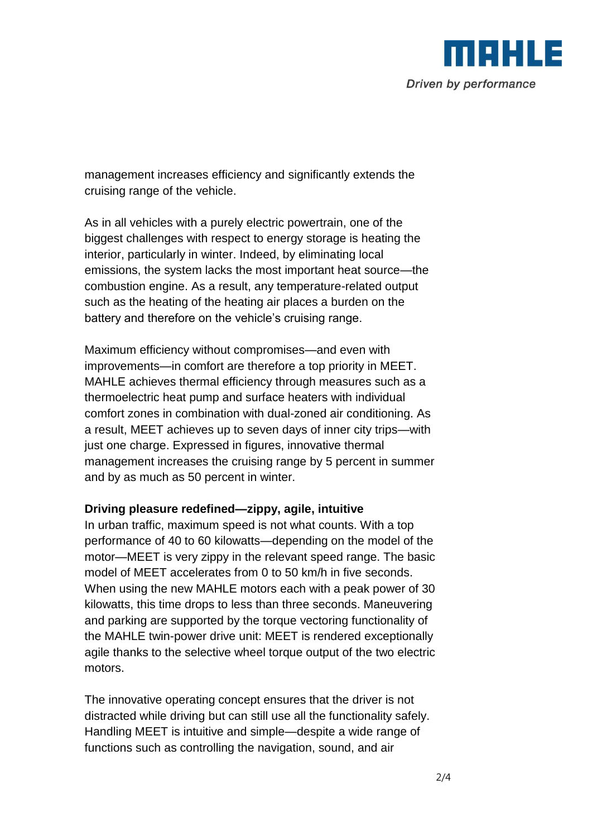

management increases efficiency and significantly extends the cruising range of the vehicle.

As in all vehicles with a purely electric powertrain, one of the biggest challenges with respect to energy storage is heating the interior, particularly in winter. Indeed, by eliminating local emissions, the system lacks the most important heat source—the combustion engine. As a result, any temperature-related output such as the heating of the heating air places a burden on the battery and therefore on the vehicle's cruising range.

Maximum efficiency without compromises—and even with improvements—in comfort are therefore a top priority in MEET. MAHLE achieves thermal efficiency through measures such as a thermoelectric heat pump and surface heaters with individual comfort zones in combination with dual-zoned air conditioning. As a result, MEET achieves up to seven days of inner city trips—with just one charge. Expressed in figures, innovative thermal management increases the cruising range by 5 percent in summer and by as much as 50 percent in winter.

### **Driving pleasure redefined—zippy, agile, intuitive**

In urban traffic, maximum speed is not what counts. With a top performance of 40 to 60 kilowatts—depending on the model of the motor—MEET is very zippy in the relevant speed range. The basic model of MEET accelerates from 0 to 50 km/h in five seconds. When using the new MAHLE motors each with a peak power of 30 kilowatts, this time drops to less than three seconds. Maneuvering and parking are supported by the torque vectoring functionality of the MAHLE twin-power drive unit: MEET is rendered exceptionally agile thanks to the selective wheel torque output of the two electric motors.

The innovative operating concept ensures that the driver is not distracted while driving but can still use all the functionality safely. Handling MEET is intuitive and simple—despite a wide range of functions such as controlling the navigation, sound, and air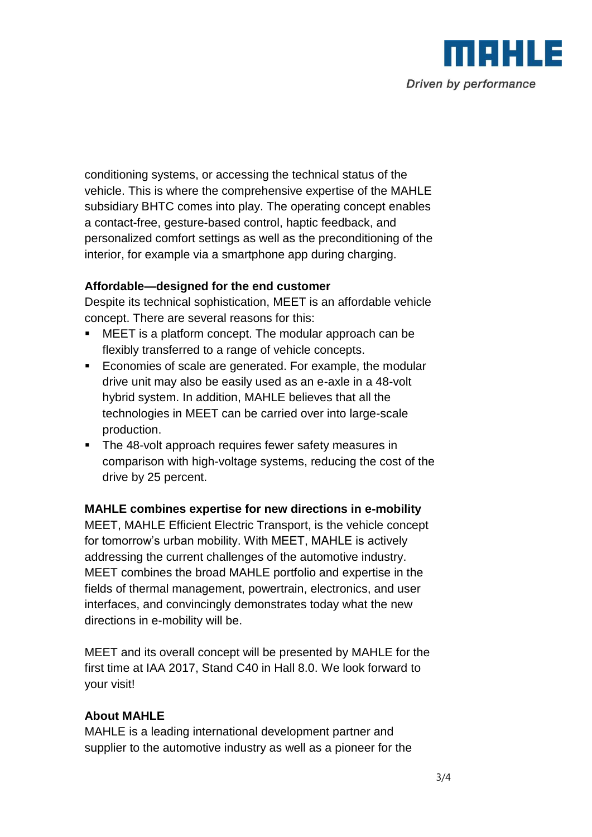

conditioning systems, or accessing the technical status of the vehicle. This is where the comprehensive expertise of the MAHLE subsidiary BHTC comes into play. The operating concept enables a contact-free, gesture-based control, haptic feedback, and personalized comfort settings as well as the preconditioning of the interior, for example via a smartphone app during charging.

### **Affordable—designed for the end customer**

Despite its technical sophistication, MEET is an affordable vehicle concept. There are several reasons for this:

- MEET is a platform concept. The modular approach can be flexibly transferred to a range of vehicle concepts.
- **Economies of scale are generated. For example, the modular** drive unit may also be easily used as an e-axle in a 48-volt hybrid system. In addition, MAHLE believes that all the technologies in MEET can be carried over into large-scale production.
- The 48-volt approach requires fewer safety measures in comparison with high-voltage systems, reducing the cost of the drive by 25 percent.

### **MAHLE combines expertise for new directions in e-mobility**

MEET, MAHLE Efficient Electric Transport, is the vehicle concept for tomorrow's urban mobility. With MEET, MAHLE is actively addressing the current challenges of the automotive industry. MEET combines the broad MAHLE portfolio and expertise in the fields of thermal management, powertrain, electronics, and user interfaces, and convincingly demonstrates today what the new directions in e-mobility will be.

MEET and its overall concept will be presented by MAHLE for the first time at IAA 2017, Stand C40 in Hall 8.0. We look forward to your visit!

### **About MAHLE**

MAHLE is a leading international development partner and supplier to the automotive industry as well as a pioneer for the